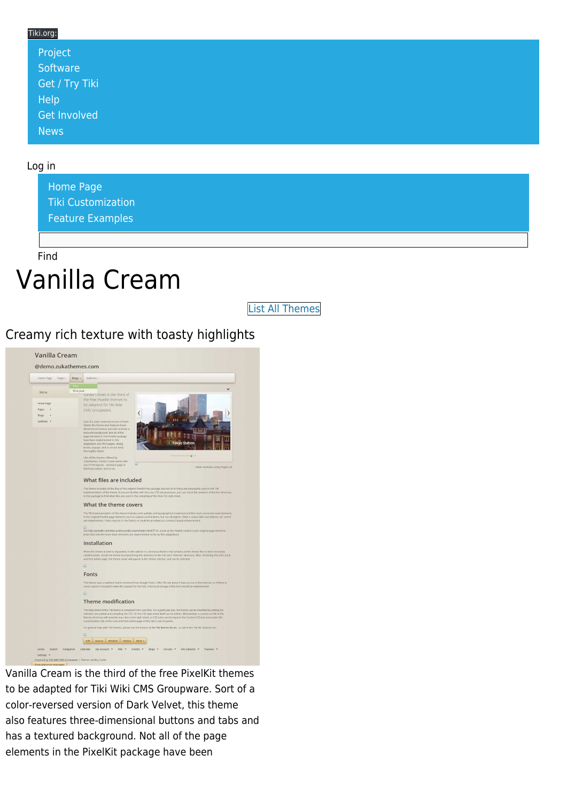#### Tiki.org:

| Project                     |  |  |  |
|-----------------------------|--|--|--|
| Software                    |  |  |  |
| Get / Try Tiki <sup> </sup> |  |  |  |
| Help                        |  |  |  |
| <b>Get Involved</b>         |  |  |  |
| News                        |  |  |  |

#### Log in

[Home Page](https://themes.tiki.org/Themes) [Tiki Customization](https://themes.tiki.org/Tiki-Customization) [Feature Examples](#page--1-0)

Find

# Vanilla Cream

[List All Themes](https://themes.tiki.org/marketplace%20themes)

#### Creamy rich texture with toasty highlights



Vanilla Cream is the third of the free PixelKit themes to be adapted for Tiki Wiki CMS Groupware. Sort of a color-reversed version of Dark Velvet, this theme also features three-dimensional buttons and tabs and has a textured background. Not all of the page elements in the PixelKit package have been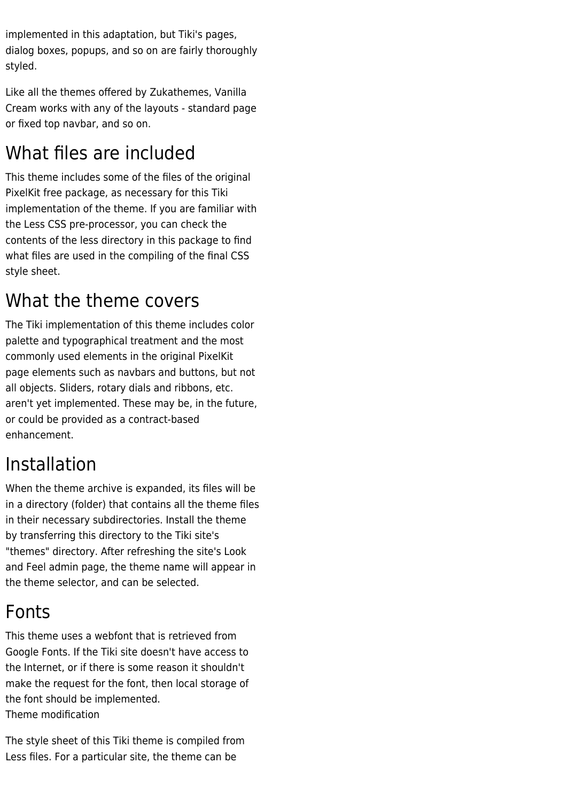implemented in this adaptation, but Tiki's pages, dialog boxes, popups, and so on are fairly thoroughly styled.

Like all the themes offered by Zukathemes, Vanilla Cream works with any of the layouts - standard page or fixed top navbar, and so on.

# What files are included

This theme includes some of the files of the original PixelKit free package, as necessary for this Tiki implementation of the theme. If you are familiar with the Less CSS pre-processor, you can check the contents of the less directory in this package to find what files are used in the compiling of the final CSS style sheet.

### What the theme covers

The Tiki implementation of this theme includes color palette and typographical treatment and the most commonly used elements in the original PixelKit page elements such as navbars and buttons, but not all objects. Sliders, rotary dials and ribbons, etc. aren't yet implemented. These may be, in the future, or could be provided as a contract-based enhancement.

## Installation

When the theme archive is expanded, its files will be in a directory (folder) that contains all the theme files in their necessary subdirectories. Install the theme by transferring this directory to the Tiki site's "themes" directory. After refreshing the site's Look and Feel admin page, the theme name will appear in the theme selector, and can be selected.

## Fonts

This theme uses a webfont that is retrieved from Google Fonts. If the Tiki site doesn't have access to the Internet, or if there is some reason it shouldn't make the request for the font, then local storage of the font should be implemented. Theme modification

The style sheet of this Tiki theme is compiled from Less files. For a particular site, the theme can be